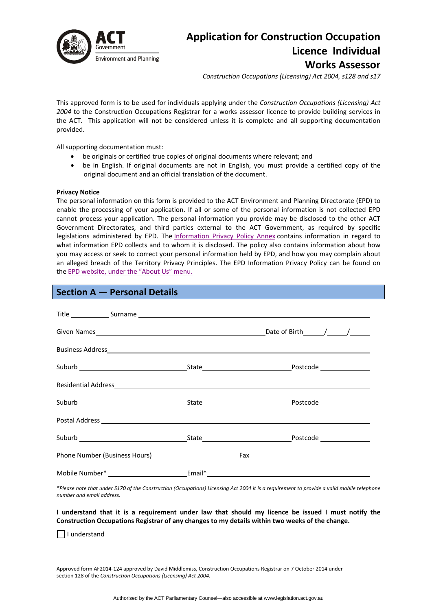

# **Application for Construction Occupation Licence Individual Works Assessor**

*Construction Occupations (Licensing) Act 2004, s128 and s17*

This approved form is to be used for individuals applying under the *Construction Occupations (Licensing) Act 2004* to the Construction Occupations Registrar for a works assessor licence to provide building services in the ACT. This application will not be considered unless it is complete and all supporting documentation provided.

All supporting documentation must:

- be originals or certified true copies of original documents where relevant; and
- be in English. If original documents are not in English, you must provide a certified copy of the original document and an official translation of the document.

#### **Privacy Notice**

The personal information on this form is provided to the ACT Environment and Planning Directorate (EPD) to enable the processing of your application. If all or some of the personal information is not collected EPD cannot process your application. The personal information you provide may be disclosed to the other ACT Government Directorates, and third parties external to the ACT Government, as required by specific legislations administered by EPD. The [Information](http://www.environment.act.gov.au/__data/assets/pdf_file/0006/633741/Information-Privacy-Policy-Annex.pdf) Privacy Policy Annex contains information in regard to what information EPD collects and to whom it is disclosed. The policy also contains information about how you may access or seek to correct your personal information held by EPD, and how you may complain about an alleged breach of the Territory Privacy Principles. The EPD Information Privacy Policy can be found on the EPD [website,](http://www.environment.act.gov.au/about/privacy) under the "About Us" menu.

| <b>Section A – Personal Details</b>                                                                                                                                                                                           |  | <b>Contract Contract Contract Contract Contract Contract Contract Contract Contract Contract Contract Contract Co</b> |  |
|-------------------------------------------------------------------------------------------------------------------------------------------------------------------------------------------------------------------------------|--|-----------------------------------------------------------------------------------------------------------------------|--|
| Title Surname Surname Surname Surname Surname Surname Surname Surname Surname Surname Surname Surname Surname Surname Surname Surname Surname Surname Surname Surname Surname Surname Surname Surname Surname Surname Surname |  |                                                                                                                       |  |
|                                                                                                                                                                                                                               |  |                                                                                                                       |  |
|                                                                                                                                                                                                                               |  |                                                                                                                       |  |
|                                                                                                                                                                                                                               |  |                                                                                                                       |  |
|                                                                                                                                                                                                                               |  |                                                                                                                       |  |
|                                                                                                                                                                                                                               |  |                                                                                                                       |  |
|                                                                                                                                                                                                                               |  |                                                                                                                       |  |
|                                                                                                                                                                                                                               |  |                                                                                                                       |  |
|                                                                                                                                                                                                                               |  |                                                                                                                       |  |
|                                                                                                                                                                                                                               |  |                                                                                                                       |  |

\*Please note that under S170 of the Construction (Occupations) Licensing Act 2004 it is a requirement to provide a valid mobile telephone *number and email address.* 

### I understand that it is a requirement under law that should my licence be issued I must notify the **Construction Occupations Registrar of any changes to my details within two weeks of the change.**

I understand

Approved form AF2014‐124 approved by David Middlemiss, Construction Occupations Registrar on 7 October 2014 under section 128 of the *Construction Occupations (Licensing) Act 2004*.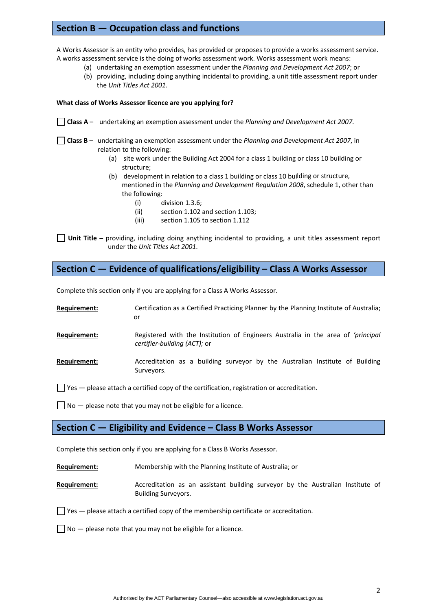# **Section B — Occupation class and functions**

A Works Assessor is an entity who provides, has provided or proposes to provide a works assessment service. A works assessment service is the doing of works assessment work. Works assessment work means:

- (a) undertaking an exemption assessment under the *Planning and Development Act 2007*; or
- (b) providing, including doing anything incidental to providing, a unit title assessment report under the *Unit Titles Act 2001.*

### **What class of Works Assessor licence are you applying for?**

- **Class A** undertaking an exemption assessment under the *Planning and Development Act 2007*.
- **Class B** undertaking an exemption assessment under the *Planning and Development Act 2007*, in relation to the following:
	- (a) site work under the Building Act 2004 for a class 1 building or class 10 building or structure;
	- (b) development in relation to a class 1 building or class 10 building or structure, mentioned in the *Planning and Development Regulation 2008*, schedule 1, other than the following:
		- (i) division 1.3.6;
		- (ii) section 1.102 and section 1.103;
		- (iii) section 1.105 to section 1.112

**Unit Title –** providing, including doing anything incidental to providing, a unit titles assessment report under the *Unit Titles Act 2001*.

## **Section C — Evidence of qualifications/eligibility – Class A Works Assessor**

Complete this section only if you are applying for a Class A Works Assessor.

| Requirement:        | Certification as a Certified Practicing Planner by the Planning Institute of Australia;<br>or                    |
|---------------------|------------------------------------------------------------------------------------------------------------------|
| <b>Requirement:</b> | Registered with the Institution of Engineers Australia in the area of 'principal<br>certifier-building (ACT); or |
| <b>Requirement:</b> | Accreditation as a building surveyor by the Australian Institute of Building<br>Surveyors.                       |

 $\Box$  Yes  $-$  please attach a certified copy of the certification, registration or accreditation.

 $\Box$  No  $-$  please note that you may not be eligible for a licence.

### **Section C — Eligibility and Evidence – Class B Works Assessor**

Complete this section only if you are applying for a Class B Works Assessor.

**Requirement:**  Membership with the Planning Institute of Australia; or

**Requirement:** Accreditation as an assistant building surveyor by the Australian Institute of Building Surveyors.

 $\Box$  Yes  $-$  please attach a certified copy of the membership certificate or accreditation.

 $\Box$  No  $-$  please note that you may not be eligible for a licence.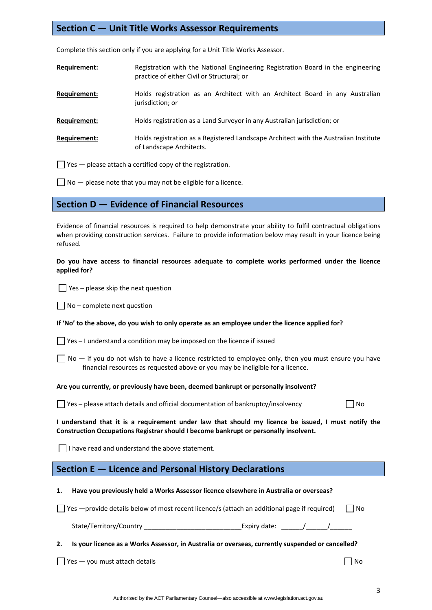# **Section C — Unit Title Works Assessor Requirements**

Complete this section only if you are applying for a Unit Title Works Assessor.

| Requirement: | Registration with the National Engineering Registration Board in the engineering |
|--------------|----------------------------------------------------------------------------------|
|              | practice of either Civil or Structural; or                                       |

- **Requirement:** Holds registration as an Architect with an Architect Board in any Australian jurisdiction; or
- **Requirement:** Holds registration as a Land Surveyor in any Australian jurisdiction; or
- **Requirement:** Holds registration as a Registered Landscape Architect with the Australian Institute of Landscape Architects.

 $\Box$  Yes  $-$  please attach a certified copy of the registration.

 $\Box$  No  $-$  please note that you may not be eligible for a licence.

### **Section D — Evidence of Financial Resources**

Evidence of financial resources is required to help demonstrate your ability to fulfil contractual obligations when providing construction services. Failure to provide information below may result in your licence being refused.

### **Do you have access to financial resources adequate to complete works performed under the licence applied for?**

 $\Box$  Yes – please skip the next question

 $\Box$  No – complete next question

|  |  |  |  |  | If 'No' to the above, do you wish to only operate as an employee under the licence applied for? |
|--|--|--|--|--|-------------------------------------------------------------------------------------------------|
|--|--|--|--|--|-------------------------------------------------------------------------------------------------|

| $\Box$ Yes – I understand a condition may be imposed on the licence if issued |  |
|-------------------------------------------------------------------------------|--|
|-------------------------------------------------------------------------------|--|

 $\Box$  No  $-$  if you do not wish to have a licence restricted to employee only, then you must ensure you have financial resources as requested above or you may be ineligible for a licence.

#### **Are you currently, or previously have been, deemed bankrupt or personally insolvent?**

 $\Box$  Yes – please attach details and official documentation of bankruptcy/insolvency  $\Box$  No

I understand that it is a requirement under law that should my licence be issued, I must notify the **Construction Occupations Registrar should I become bankrupt or personally insolvent.** 

 $\Box$  I have read and understand the above statement.

### **Section E — Licence and Personal History Declarations**

**1. Have you previously held a Works Assessor licence elsewhere in Australia or overseas?** 

|  | $\Box$ Yes —provide details below of most recent licence/s (attach an additional page if required) | ∐ No |  |  |
|--|----------------------------------------------------------------------------------------------------|------|--|--|
|--|----------------------------------------------------------------------------------------------------|------|--|--|

| State/Territory/Country | Expiry date: |  |
|-------------------------|--------------|--|
|                         |              |  |

### **2. Is your licence as a Works Assessor, in Australia or overseas, currently suspended or cancelled?**

 $\Box$  Yes  $-$  you must attach details  $\Box$  No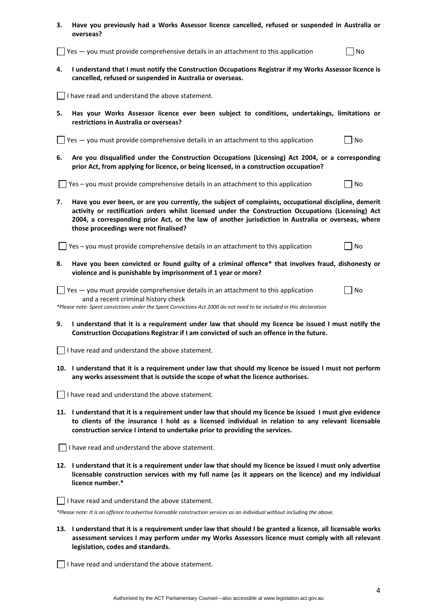| з. | Have you previously had a Works Assessor licence cancelled, refused or suspended in Australia or<br>overseas?                                                                                                                                                                                                                                                |
|----|--------------------------------------------------------------------------------------------------------------------------------------------------------------------------------------------------------------------------------------------------------------------------------------------------------------------------------------------------------------|
|    | Yes - you must provide comprehensive details in an attachment to this application<br>No                                                                                                                                                                                                                                                                      |
| 4. | I understand that I must notify the Construction Occupations Registrar if my Works Assessor licence is<br>cancelled, refused or suspended in Australia or overseas.                                                                                                                                                                                          |
|    | I have read and understand the above statement.                                                                                                                                                                                                                                                                                                              |
| 5. | Has your Works Assessor licence ever been subject to conditions, undertakings, limitations or<br>restrictions in Australia or overseas?                                                                                                                                                                                                                      |
|    | $\blacksquare$ Yes $\blacksquare$ you must provide comprehensive details in an attachment to this application<br>No                                                                                                                                                                                                                                          |
| 6. | Are you disqualified under the Construction Occupations (Licensing) Act 2004, or a corresponding<br>prior Act, from applying for licence, or being licensed, in a construction occupation?                                                                                                                                                                   |
|    | Yes - you must provide comprehensive details in an attachment to this application<br>No                                                                                                                                                                                                                                                                      |
| 7. | Have you ever been, or are you currently, the subject of complaints, occupational discipline, demerit<br>activity or rectification orders whilst licensed under the Construction Occupations (Licensing) Act<br>2004, a corresponding prior Act, or the law of another jurisdiction in Australia or overseas, where<br>those proceedings were not finalised? |
|    | Yes - you must provide comprehensive details in an attachment to this application<br>No                                                                                                                                                                                                                                                                      |
| 8. | Have you been convicted or found guilty of a criminal offence* that involves fraud, dishonesty or<br>violence and is punishable by imprisonment of 1 year or more?                                                                                                                                                                                           |
|    | $\Box$ Yes $-$ you must provide comprehensive details in an attachment to this application<br>No<br>and a recent criminal history check<br>*Please note: Spent convictions under the Spent Convictions Act 2000 do not need to be included in this declaration                                                                                               |
| 9. | I understand that it is a requirement under law that should my licence be issued I must notify the<br>Construction Occupations Registrar if I am convicted of such an offence in the future.                                                                                                                                                                 |
|    | $\Box$ I have read and understand the above statement.                                                                                                                                                                                                                                                                                                       |
|    | 10. I understand that it is a requirement under law that should my licence be issued I must not perform<br>any works assessment that is outside the scope of what the licence authorises.                                                                                                                                                                    |
|    | $\Box$ I have read and understand the above statement.                                                                                                                                                                                                                                                                                                       |
|    | 11. I understand that it is a requirement under law that should my licence be issued I must give evidence<br>to clients of the insurance I hold as a licensed individual in relation to any relevant licensable<br>construction service I intend to undertake prior to providing the services.                                                               |
|    | I have read and understand the above statement.                                                                                                                                                                                                                                                                                                              |
|    | 12. I understand that it is a requirement under law that should my licence be issued I must only advertise<br>licensable construction services with my full name (as it appears on the licence) and my individual<br>licence number.*                                                                                                                        |
|    | I have read and understand the above statement.<br>*Please note: It is an offence to advertise licensable construction services as an individual without including the above.                                                                                                                                                                                |
|    | 13. I understand that it is a requirement under law that should I be granted a licence, all licensable works<br>assessment services I may perform under my Works Assessors licence must comply with all relevant<br>legislation, codes and standards.                                                                                                        |

I have read and understand the above statement.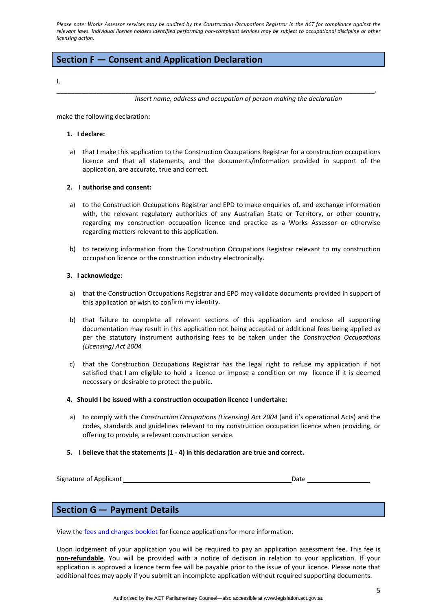Please note: Works Assessor services may be audited by the Construction Occupations Registrar in the ACT for compliance against the relevant laws. Individual licence holders identified performing non-compliant services may be subject to occupational discipline or other *licensing action.*

\_\_\_\_\_\_\_\_\_\_\_\_\_\_\_\_\_\_\_\_\_\_\_\_\_\_\_\_\_\_\_\_\_\_\_\_\_\_\_\_\_\_\_\_\_\_\_\_\_\_\_\_\_\_\_\_\_\_\_\_\_\_\_\_\_\_\_\_\_\_\_\_\_\_\_\_\_\_\_\_\_\_\_\_\_\_\_\_,

# **Section F — Consent and Application Declaration**

#### I,

*Insert name, address and occupation of person making the declaration*

make the following declaration**:**

#### **1. I declare:**

a) that I make this application to the Construction Occupations Registrar for a construction occupations licence and that all statements, and the documents/information provided in support of the application, are accurate, true and correct.

### **2. I authorise and consent:**

- a) to the Construction Occupations Registrar and EPD to make enquiries of, and exchange information with, the relevant regulatory authorities of any Australian State or Territory, or other country, regarding my construction occupation licence and practice as a Works Assessor or otherwise regarding matters relevant to this application.
- b) to receiving information from the Construction Occupations Registrar relevant to my construction occupation licence or the construction industry electronically.

### **3. I acknowledge:**

- a) that the Construction Occupations Registrar and EPD may validate documents provided in support of this application or wish to confirm my identity.
- b) that failure to complete all relevant sections of this application and enclose all supporting documentation may result in this application not being accepted or additional fees being applied as per the statutory instrument authorising fees to be taken under the *Construction Occupations (Licensing) Act 2004*
- c) that the Construction Occupations Registrar has the legal right to refuse my application if not satisfied that I am eligible to hold a licence or impose a condition on my licence if it is deemed necessary or desirable to protect the public.
- **4. Should I be issued with a construction occupation licence I undertake:**
- a) to comply with the *Construction Occupations (Licensing) Act 2004* (and it's operational Acts) and the codes, standards and guidelines relevant to my construction occupation licence when providing, or offering to provide, a relevant construction service.
- **5. I believe that the statements (1 ‐ 4) in this declaration are true and correct.**

Signature of Applicant *Date*  $\overline{\phantom{a}}$  Date

### **Section G — Payment Details**

View the fees and [charges](http://www.actpla.act.gov.au/__data/assets/pdf_file/0004/18148/2014-15_Fees_and_charges_-_ACCESS-31July.pdf) booklet for licence applications for more information.

Upon lodgement of your application you will be required to pay an application assessment fee. This fee is **non‐refundable**. You will be provided with a notice of decision in relation to your application. If your application is approved a licence term fee will be payable prior to the issue of your licence. Please note that additional fees may apply if you submit an incomplete application without required supporting documents.